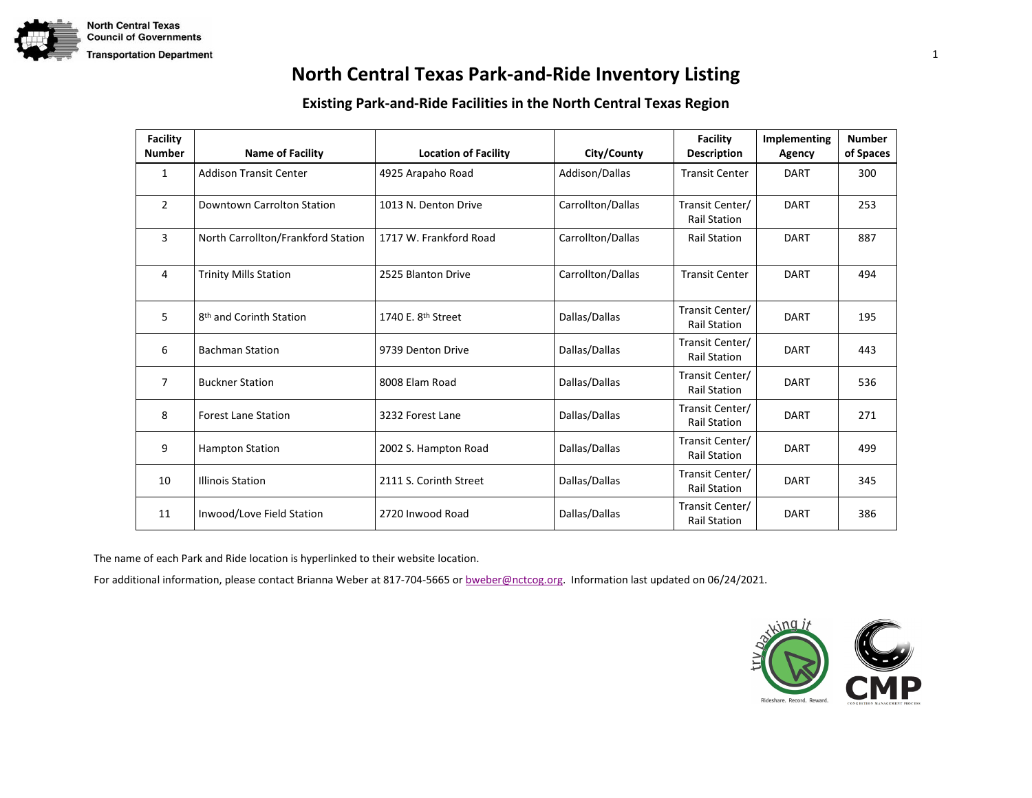

### **Existing Park-and-Ride Facilities in the North Central Texas Region**

| <b>Facility</b><br><b>Number</b> | <b>Name of Facility</b>             | <b>Location of Facility</b>    | City/County       | <b>Facility</b><br><b>Description</b>  | Implementing<br>Agency | <b>Number</b><br>of Spaces |
|----------------------------------|-------------------------------------|--------------------------------|-------------------|----------------------------------------|------------------------|----------------------------|
| 1                                | <b>Addison Transit Center</b>       | 4925 Arapaho Road              | Addison/Dallas    | <b>Transit Center</b>                  | <b>DART</b>            | 300                        |
| $\overline{2}$                   | Downtown Carrolton Station          | 1013 N. Denton Drive           | Carrollton/Dallas | Transit Center/<br><b>Rail Station</b> | <b>DART</b>            | 253                        |
| 3                                | North Carrollton/Frankford Station  | 1717 W. Frankford Road         | Carrollton/Dallas | <b>Rail Station</b>                    | <b>DART</b>            | 887                        |
| 4                                | <b>Trinity Mills Station</b>        | 2525 Blanton Drive             | Carrollton/Dallas | <b>Transit Center</b>                  | <b>DART</b>            | 494                        |
| 5                                | 8 <sup>th</sup> and Corinth Station | 1740 E. 8 <sup>th</sup> Street | Dallas/Dallas     | Transit Center/<br><b>Rail Station</b> | <b>DART</b>            | 195                        |
| 6                                | <b>Bachman Station</b>              | 9739 Denton Drive              | Dallas/Dallas     | Transit Center/<br><b>Rail Station</b> | <b>DART</b>            | 443                        |
| 7                                | <b>Buckner Station</b>              | 8008 Elam Road                 | Dallas/Dallas     | Transit Center/<br><b>Rail Station</b> | <b>DART</b>            | 536                        |
| 8                                | <b>Forest Lane Station</b>          | 3232 Forest Lane               | Dallas/Dallas     | Transit Center/<br><b>Rail Station</b> | <b>DART</b>            | 271                        |
| 9                                | <b>Hampton Station</b>              | 2002 S. Hampton Road           | Dallas/Dallas     | Transit Center/<br><b>Rail Station</b> | <b>DART</b>            | 499                        |
| 10                               | <b>Illinois Station</b>             | 2111 S. Corinth Street         | Dallas/Dallas     | Transit Center/<br><b>Rail Station</b> | <b>DART</b>            | 345                        |
| 11                               | Inwood/Love Field Station           | 2720 Inwood Road               | Dallas/Dallas     | Transit Center/<br><b>Rail Station</b> | <b>DART</b>            | 386                        |

The name of each Park and Ride location is hyperlinked to their website location.

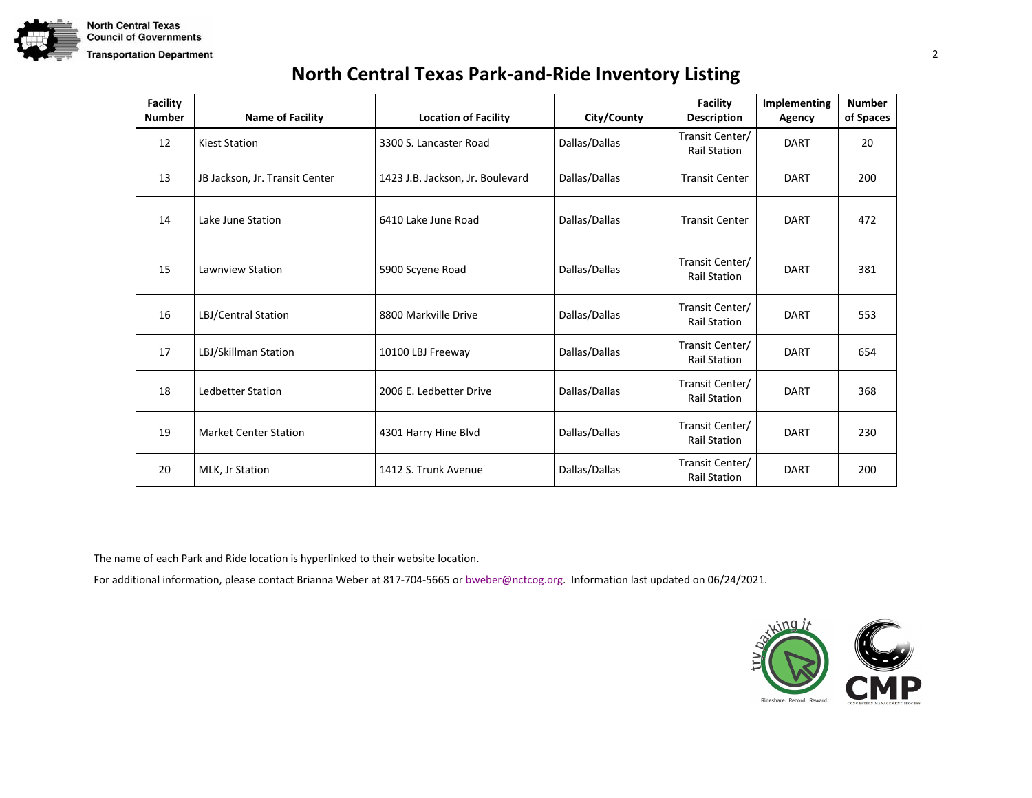

| <b>Facility</b><br><b>Number</b> | <b>Name of Facility</b>        | <b>Location of Facility</b>      | City/County   | <b>Facility</b><br><b>Description</b>  | Implementing<br>Agency | <b>Number</b><br>of Spaces |
|----------------------------------|--------------------------------|----------------------------------|---------------|----------------------------------------|------------------------|----------------------------|
| 12                               | <b>Kiest Station</b>           | 3300 S. Lancaster Road           | Dallas/Dallas | Transit Center/<br><b>Rail Station</b> | <b>DART</b>            | 20                         |
| 13                               | JB Jackson, Jr. Transit Center | 1423 J.B. Jackson, Jr. Boulevard | Dallas/Dallas | <b>Transit Center</b>                  | <b>DART</b>            | 200                        |
| 14                               | Lake June Station              | 6410 Lake June Road              | Dallas/Dallas | <b>Transit Center</b>                  | <b>DART</b>            | 472                        |
| 15                               | Lawnview Station               | 5900 Scyene Road                 | Dallas/Dallas | Transit Center/<br><b>Rail Station</b> | <b>DART</b>            | 381                        |
| 16                               | LBJ/Central Station            | 8800 Markville Drive             | Dallas/Dallas | Transit Center/<br><b>Rail Station</b> | <b>DART</b>            | 553                        |
| 17                               | LBJ/Skillman Station           | 10100 LBJ Freeway                | Dallas/Dallas | Transit Center/<br><b>Rail Station</b> | DART                   | 654                        |
| 18                               | <b>Ledbetter Station</b>       | 2006 E. Ledbetter Drive          | Dallas/Dallas | Transit Center/<br><b>Rail Station</b> | <b>DART</b>            | 368                        |
| 19                               | <b>Market Center Station</b>   | 4301 Harry Hine Blvd             | Dallas/Dallas | Transit Center/<br><b>Rail Station</b> | <b>DART</b>            | 230                        |
| 20                               | MLK, Jr Station                | 1412 S. Trunk Avenue             | Dallas/Dallas | Transit Center/<br><b>Rail Station</b> | <b>DART</b>            | 200                        |

The name of each Park and Ride location is hyperlinked to their website location.

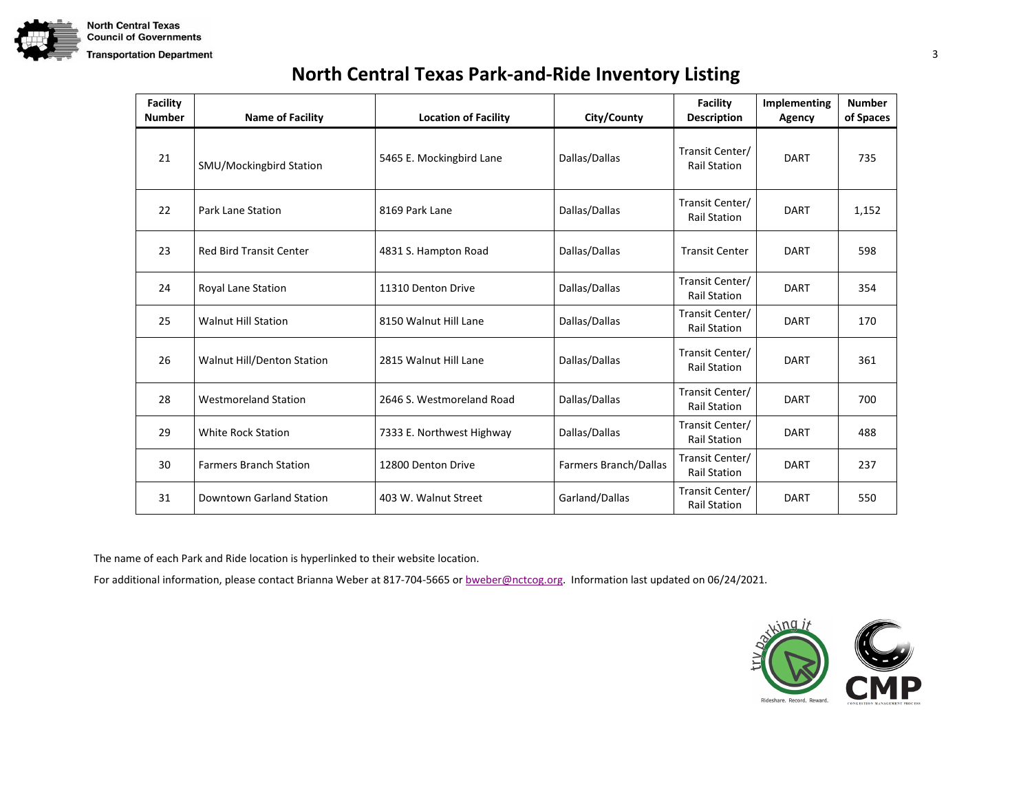

| <b>Facility</b><br><b>Number</b> | <b>Name of Facility</b>        | <b>Location of Facility</b> | City/County           | <b>Facility</b><br><b>Description</b>  | Implementing<br>Agency | <b>Number</b><br>of Spaces |
|----------------------------------|--------------------------------|-----------------------------|-----------------------|----------------------------------------|------------------------|----------------------------|
| 21                               | SMU/Mockingbird Station        | 5465 E. Mockingbird Lane    | Dallas/Dallas         | Transit Center/<br><b>Rail Station</b> | <b>DART</b>            | 735                        |
| 22                               | <b>Park Lane Station</b>       | 8169 Park Lane              | Dallas/Dallas         | Transit Center/<br><b>Rail Station</b> | <b>DART</b>            | 1,152                      |
| 23                               | <b>Red Bird Transit Center</b> | 4831 S. Hampton Road        | Dallas/Dallas         | <b>Transit Center</b>                  | <b>DART</b>            | 598                        |
| 24                               | Royal Lane Station             | 11310 Denton Drive          | Dallas/Dallas         | Transit Center/<br><b>Rail Station</b> | <b>DART</b>            | 354                        |
| 25                               | <b>Walnut Hill Station</b>     | 8150 Walnut Hill Lane       | Dallas/Dallas         | Transit Center/<br><b>Rail Station</b> | <b>DART</b>            | 170                        |
| 26                               | Walnut Hill/Denton Station     | 2815 Walnut Hill Lane       | Dallas/Dallas         | Transit Center/<br><b>Rail Station</b> | <b>DART</b>            | 361                        |
| 28                               | <b>Westmoreland Station</b>    | 2646 S. Westmoreland Road   | Dallas/Dallas         | Transit Center/<br><b>Rail Station</b> | DART                   | 700                        |
| 29                               | <b>White Rock Station</b>      | 7333 E. Northwest Highway   | Dallas/Dallas         | Transit Center/<br><b>Rail Station</b> | <b>DART</b>            | 488                        |
| 30                               | <b>Farmers Branch Station</b>  | 12800 Denton Drive          | Farmers Branch/Dallas | Transit Center/<br><b>Rail Station</b> | <b>DART</b>            | 237                        |
| 31                               | Downtown Garland Station       | 403 W. Walnut Street        | Garland/Dallas        | Transit Center/<br><b>Rail Station</b> | <b>DART</b>            | 550                        |

The name of each Park and Ride location is hyperlinked to their website location.

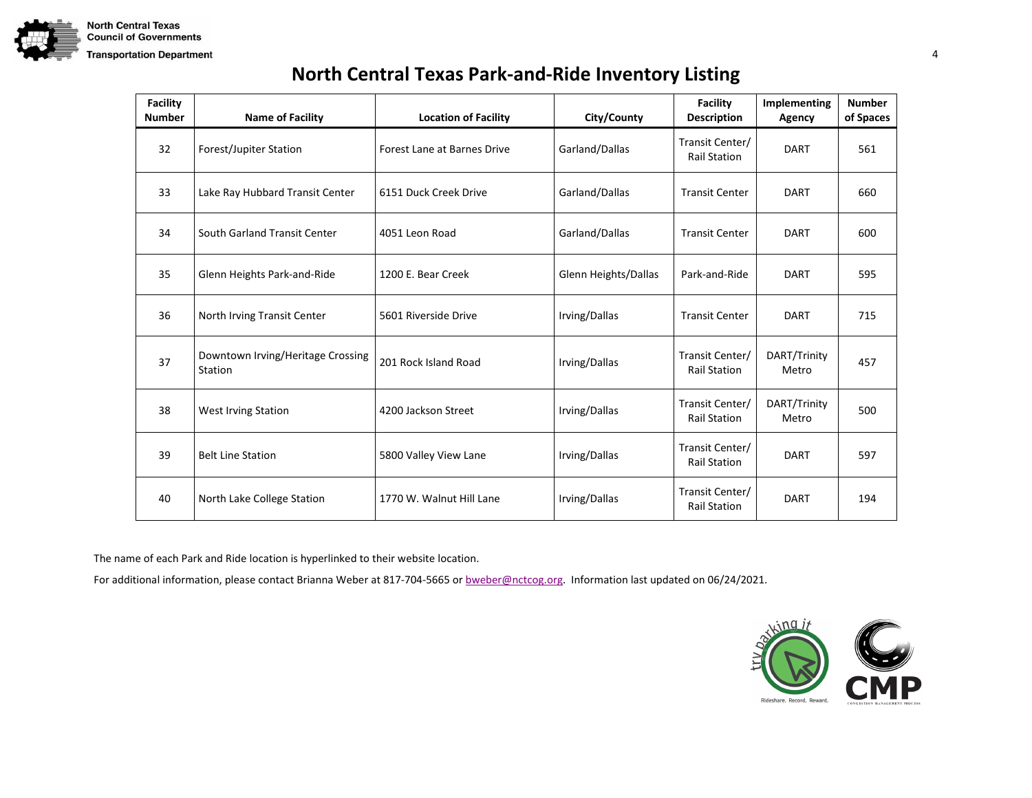

| <b>Facility</b><br><b>Number</b> | <b>Name of Facility</b>                      | <b>Location of Facility</b>        | City/County          | <b>Facility</b><br><b>Description</b>  | <b>Implementing</b><br>Agency | <b>Number</b><br>of Spaces |
|----------------------------------|----------------------------------------------|------------------------------------|----------------------|----------------------------------------|-------------------------------|----------------------------|
| 32                               | Forest/Jupiter Station                       | <b>Forest Lane at Barnes Drive</b> | Garland/Dallas       | Transit Center/<br><b>Rail Station</b> | <b>DART</b>                   | 561                        |
| 33                               | Lake Ray Hubbard Transit Center              | 6151 Duck Creek Drive              | Garland/Dallas       | <b>Transit Center</b>                  | DART                          | 660                        |
| 34                               | South Garland Transit Center                 | 4051 Leon Road                     | Garland/Dallas       | <b>Transit Center</b>                  | DART                          | 600                        |
| 35                               | Glenn Heights Park-and-Ride                  | 1200 E. Bear Creek                 | Glenn Heights/Dallas | Park-and-Ride                          | <b>DART</b>                   | 595                        |
| 36                               | North Irving Transit Center                  | 5601 Riverside Drive               | Irving/Dallas        | <b>Transit Center</b>                  | <b>DART</b>                   | 715                        |
| 37                               | Downtown Irving/Heritage Crossing<br>Station | 201 Rock Island Road               | Irving/Dallas        | Transit Center/<br><b>Rail Station</b> | DART/Trinity<br>Metro         | 457                        |
| 38                               | West Irving Station                          | 4200 Jackson Street                | Irving/Dallas        | Transit Center/<br><b>Rail Station</b> | DART/Trinity<br>Metro         | 500                        |
| 39                               | <b>Belt Line Station</b>                     | 5800 Valley View Lane              | Irving/Dallas        | Transit Center/<br><b>Rail Station</b> | <b>DART</b>                   | 597                        |
| 40                               | North Lake College Station                   | 1770 W. Walnut Hill Lane           | Irving/Dallas        | Transit Center/<br><b>Rail Station</b> | <b>DART</b>                   | 194                        |

The name of each Park and Ride location is hyperlinked to their website location.

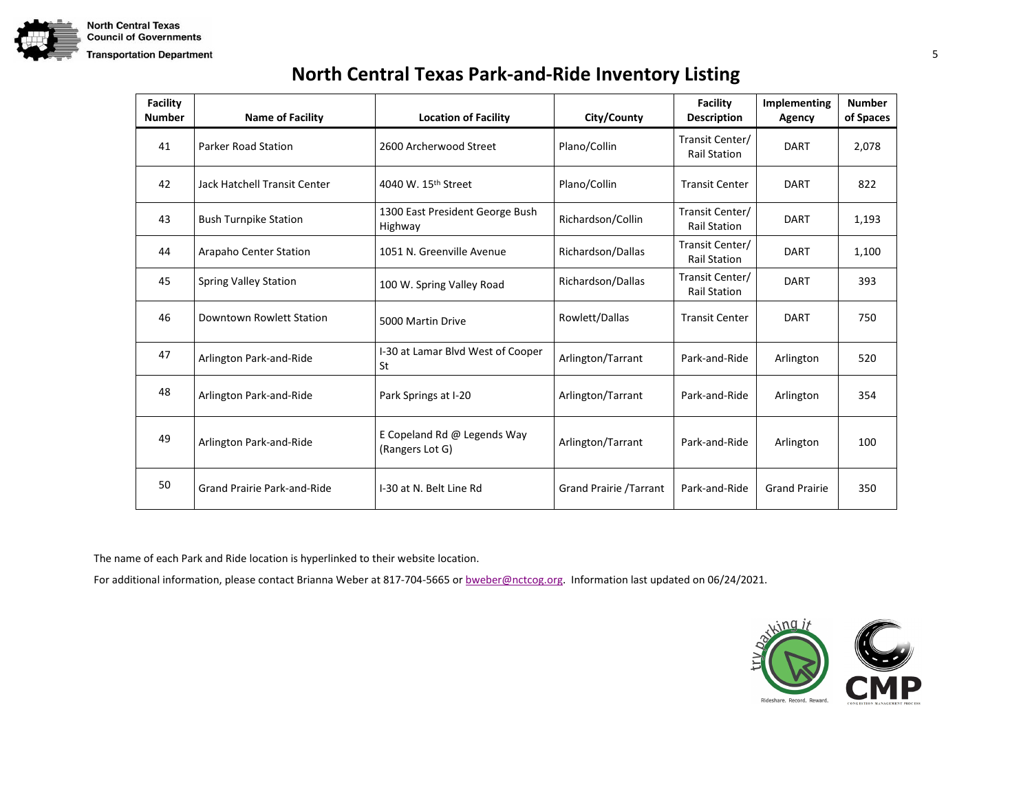

| <b>Facility</b><br><b>Number</b> | <b>Name of Facility</b>      | <b>Location of Facility</b>                    | City/County                   | <b>Facility</b><br><b>Description</b>  | Implementing<br>Agency | <b>Number</b><br>of Spaces |
|----------------------------------|------------------------------|------------------------------------------------|-------------------------------|----------------------------------------|------------------------|----------------------------|
| 41                               | <b>Parker Road Station</b>   | 2600 Archerwood Street                         | Plano/Collin                  | Transit Center/<br><b>Rail Station</b> | <b>DART</b>            | 2,078                      |
| 42                               | Jack Hatchell Transit Center | 4040 W. 15 <sup>th</sup> Street                | Plano/Collin                  | <b>Transit Center</b>                  | DART                   | 822                        |
| 43                               | <b>Bush Turnpike Station</b> | 1300 East President George Bush<br>Highway     | Richardson/Collin             | Transit Center/<br><b>Rail Station</b> | DART                   | 1,193                      |
| 44                               | Arapaho Center Station       | 1051 N. Greenville Avenue                      | Richardson/Dallas             | Transit Center/<br><b>Rail Station</b> | <b>DART</b>            | 1,100                      |
| 45                               | <b>Spring Valley Station</b> | 100 W. Spring Valley Road                      | Richardson/Dallas             | Transit Center/<br><b>Rail Station</b> | <b>DART</b>            | 393                        |
| 46                               | Downtown Rowlett Station     | 5000 Martin Drive                              | Rowlett/Dallas                | <b>Transit Center</b>                  | DART                   | 750                        |
| 47                               | Arlington Park-and-Ride      | I-30 at Lamar Blvd West of Cooper<br>St        | Arlington/Tarrant             | Park-and-Ride                          | Arlington              | 520                        |
| 48                               | Arlington Park-and-Ride      | Park Springs at I-20                           | Arlington/Tarrant             | Park-and-Ride                          | Arlington              | 354                        |
| 49                               | Arlington Park-and-Ride      | E Copeland Rd @ Legends Way<br>(Rangers Lot G) | Arlington/Tarrant             | Park-and-Ride                          | Arlington              | 100                        |
| 50                               | Grand Prairie Park-and-Ride  | I-30 at N. Belt Line Rd                        | <b>Grand Prairie /Tarrant</b> | Park-and-Ride                          | <b>Grand Prairie</b>   | 350                        |

The name of each Park and Ride location is hyperlinked to their website location.

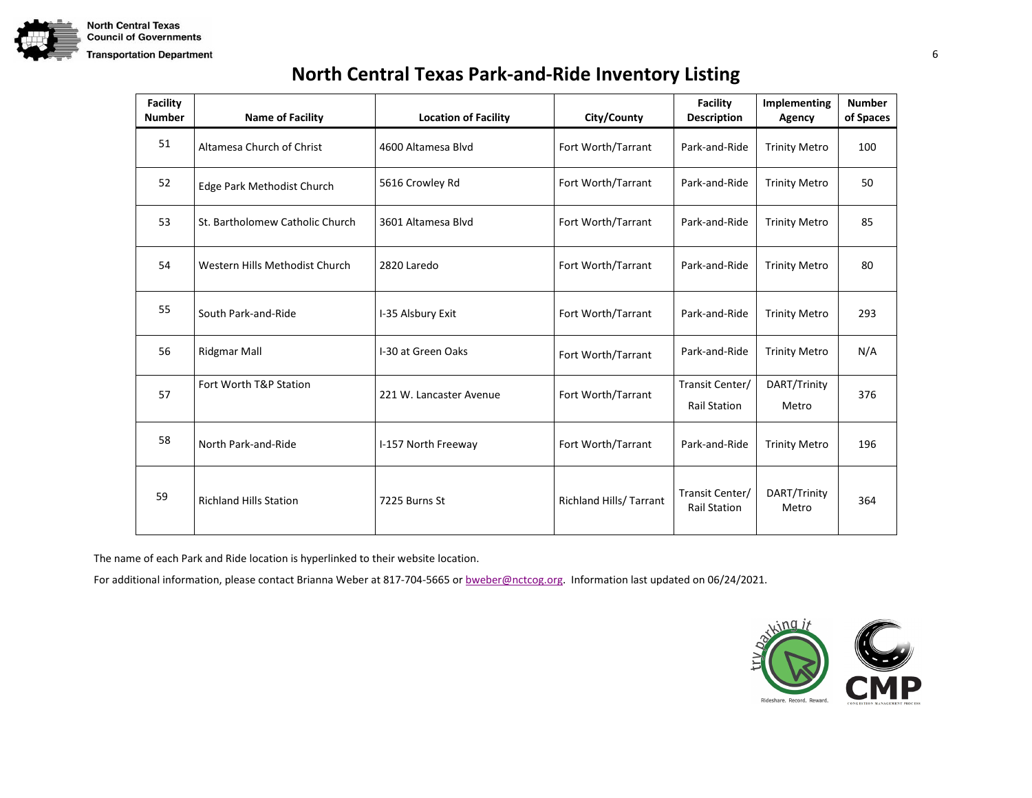

| <b>North Central Texas Park-and-Ride Inventory Listing</b> |  |
|------------------------------------------------------------|--|
|------------------------------------------------------------|--|

| <b>Facility</b><br><b>Number</b> | <b>Name of Facility</b>         | <b>Location of Facility</b> | City/County                    | <b>Facility</b><br><b>Description</b>  | Implementing<br>Agency | <b>Number</b><br>of Spaces |
|----------------------------------|---------------------------------|-----------------------------|--------------------------------|----------------------------------------|------------------------|----------------------------|
| 51                               | Altamesa Church of Christ       | 4600 Altamesa Blvd          | Fort Worth/Tarrant             | Park-and-Ride                          | <b>Trinity Metro</b>   | 100                        |
| 52                               | Edge Park Methodist Church      | 5616 Crowley Rd             | Fort Worth/Tarrant             | Park-and-Ride                          | <b>Trinity Metro</b>   | 50                         |
| 53                               | St. Bartholomew Catholic Church | 3601 Altamesa Blvd          | Fort Worth/Tarrant             | Park-and-Ride                          | <b>Trinity Metro</b>   | 85                         |
| 54                               | Western Hills Methodist Church  | 2820 Laredo                 | Fort Worth/Tarrant             | Park-and-Ride                          | <b>Trinity Metro</b>   | 80                         |
| 55                               | South Park-and-Ride             | I-35 Alsbury Exit           | Fort Worth/Tarrant             | Park-and-Ride                          | <b>Trinity Metro</b>   | 293                        |
| 56                               | <b>Ridgmar Mall</b>             | I-30 at Green Oaks          | Fort Worth/Tarrant             | Park-and-Ride                          | <b>Trinity Metro</b>   | N/A                        |
| 57                               | Fort Worth T&P Station          | 221 W. Lancaster Avenue     | Fort Worth/Tarrant             | Transit Center/<br><b>Rail Station</b> | DART/Trinity<br>Metro  | 376                        |
| 58                               | North Park-and-Ride             | I-157 North Freeway         | Fort Worth/Tarrant             | Park-and-Ride                          | <b>Trinity Metro</b>   | 196                        |
| 59                               | <b>Richland Hills Station</b>   | 7225 Burns St               | <b>Richland Hills/ Tarrant</b> | Transit Center/<br><b>Rail Station</b> | DART/Trinity<br>Metro  | 364                        |

The name of each Park and Ride location is hyperlinked to their website location.

For additional information, please contact Brianna Weber at 817-704-5665 or **bweber@nctcog.org.** Information last updated on 06/24/2021.

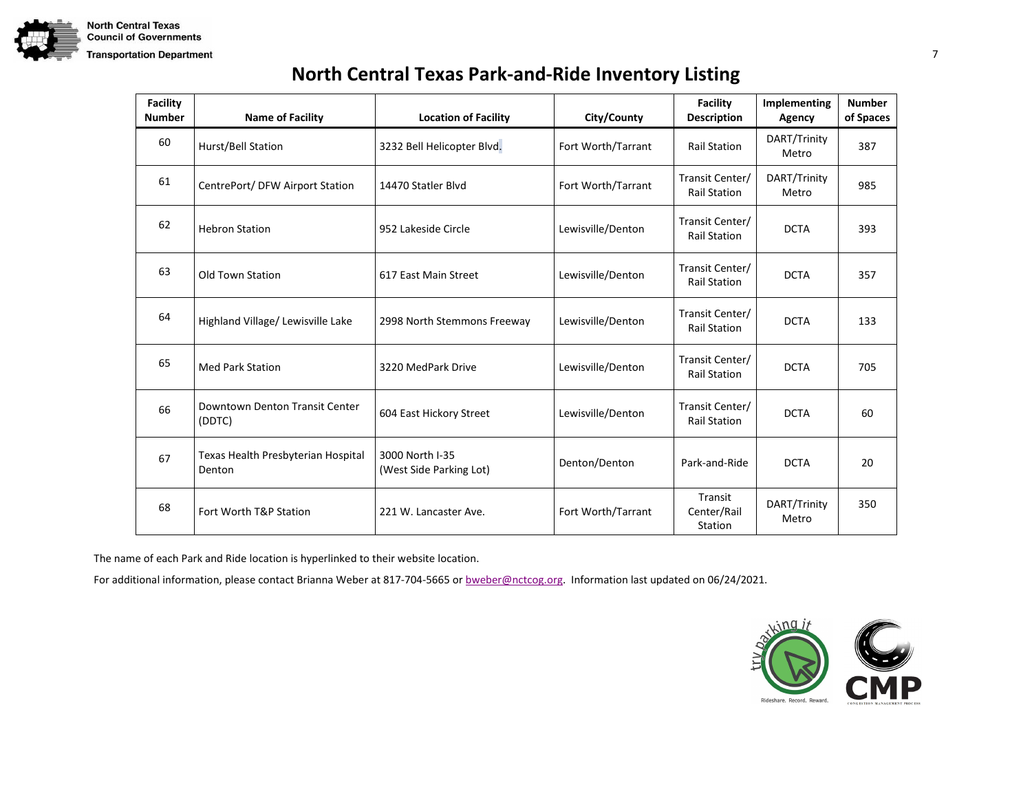

| <b>North Central Texas Park-and-Ride Inventory Listing</b> |  |
|------------------------------------------------------------|--|
|------------------------------------------------------------|--|

| <b>Facility</b><br><b>Number</b> | <b>Name of Facility</b>                      | <b>Location of Facility</b>                | City/County        | <b>Facility</b><br><b>Description</b>  | Implementing<br>Agency | <b>Number</b><br>of Spaces |
|----------------------------------|----------------------------------------------|--------------------------------------------|--------------------|----------------------------------------|------------------------|----------------------------|
| 60                               | Hurst/Bell Station                           | 3232 Bell Helicopter Blvd.                 | Fort Worth/Tarrant | <b>Rail Station</b>                    | DART/Trinity<br>Metro  | 387                        |
| 61                               | CentrePort/DFW Airport Station               | 14470 Statler Blyd                         | Fort Worth/Tarrant | Transit Center/<br><b>Rail Station</b> | DART/Trinity<br>Metro  | 985                        |
| 62                               | <b>Hebron Station</b>                        | 952 Lakeside Circle                        | Lewisville/Denton  | Transit Center/<br><b>Rail Station</b> | <b>DCTA</b>            | 393                        |
| 63                               | <b>Old Town Station</b>                      | 617 East Main Street                       | Lewisville/Denton  | Transit Center/<br><b>Rail Station</b> | <b>DCTA</b>            | 357                        |
| 64                               | Highland Village/ Lewisville Lake            | 2998 North Stemmons Freeway                | Lewisville/Denton  | Transit Center/<br><b>Rail Station</b> | <b>DCTA</b>            | 133                        |
| 65                               | <b>Med Park Station</b>                      | 3220 MedPark Drive                         | Lewisville/Denton  | Transit Center/<br><b>Rail Station</b> | <b>DCTA</b>            | 705                        |
| 66                               | Downtown Denton Transit Center<br>(DDTC)     | 604 East Hickory Street                    | Lewisville/Denton  | Transit Center/<br><b>Rail Station</b> | <b>DCTA</b>            | 60                         |
| 67                               | Texas Health Presbyterian Hospital<br>Denton | 3000 North I-35<br>(West Side Parking Lot) | Denton/Denton      | Park-and-Ride                          | <b>DCTA</b>            | 20                         |
| 68                               | Fort Worth T&P Station                       | 221 W. Lancaster Ave.                      | Fort Worth/Tarrant | Transit<br>Center/Rail<br>Station      | DART/Trinity<br>Metro  | 350                        |

The name of each Park and Ride location is hyperlinked to their website location.

For additional information, please contact Brianna Weber at 817-704-5665 or **bweber@nctcog.org.** Information last updated on 06/24/2021.

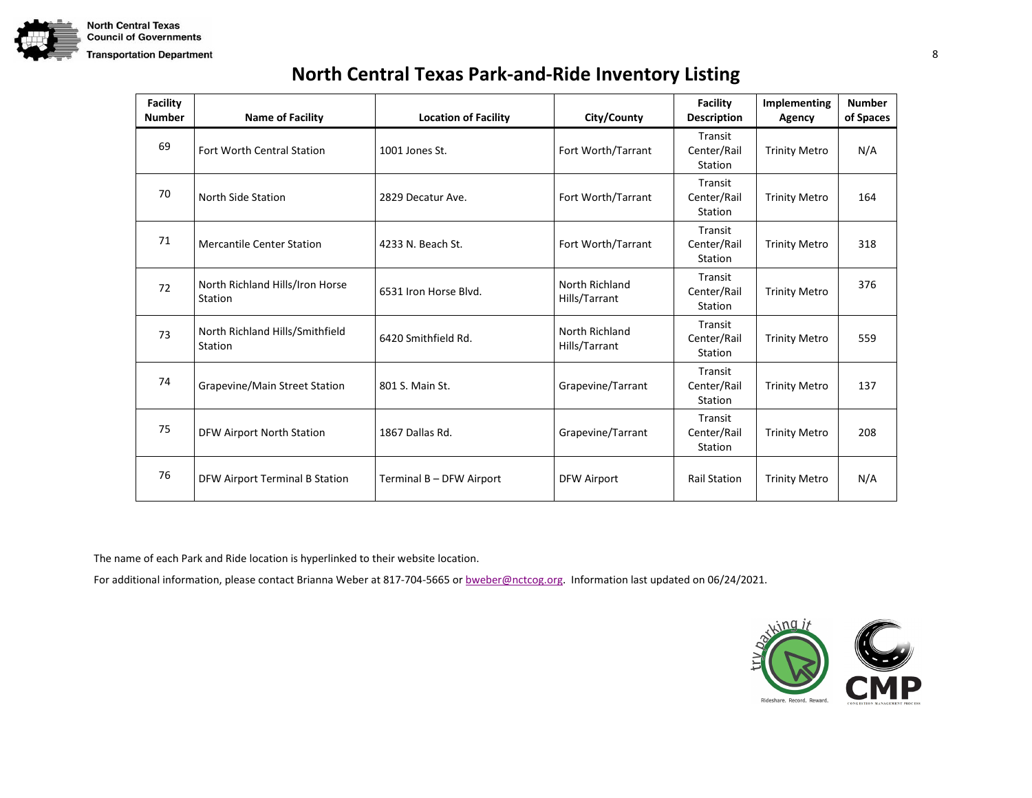

| <b>Facility</b><br><b>Number</b> | <b>Name of Facility</b>                    | <b>Location of Facility</b> | City/County                     | <b>Facility</b><br><b>Description</b> | Implementing<br>Agency | <b>Number</b><br>of Spaces |
|----------------------------------|--------------------------------------------|-----------------------------|---------------------------------|---------------------------------------|------------------------|----------------------------|
| 69                               | <b>Fort Worth Central Station</b>          | 1001 Jones St.              | Fort Worth/Tarrant              | Transit<br>Center/Rail<br>Station     | <b>Trinity Metro</b>   | N/A                        |
| 70                               | North Side Station                         | 2829 Decatur Ave.           | Fort Worth/Tarrant              | Transit<br>Center/Rail<br>Station     | <b>Trinity Metro</b>   | 164                        |
| 71                               | <b>Mercantile Center Station</b>           | 4233 N. Beach St.           | Fort Worth/Tarrant              | Transit<br>Center/Rail<br>Station     | <b>Trinity Metro</b>   | 318                        |
| 72                               | North Richland Hills/Iron Horse<br>Station | 6531 Iron Horse Blvd.       | North Richland<br>Hills/Tarrant | Transit<br>Center/Rail<br>Station     | <b>Trinity Metro</b>   | 376                        |
| 73                               | North Richland Hills/Smithfield<br>Station | 6420 Smithfield Rd.         | North Richland<br>Hills/Tarrant | Transit<br>Center/Rail<br>Station     | <b>Trinity Metro</b>   | 559                        |
| 74                               | Grapevine/Main Street Station              | 801 S. Main St.             | Grapevine/Tarrant               | Transit<br>Center/Rail<br>Station     | <b>Trinity Metro</b>   | 137                        |
| 75                               | <b>DFW Airport North Station</b>           | 1867 Dallas Rd.             | Grapevine/Tarrant               | Transit<br>Center/Rail<br>Station     | <b>Trinity Metro</b>   | 208                        |
| 76                               | DFW Airport Terminal B Station             | Terminal B - DFW Airport    | <b>DFW Airport</b>              | <b>Rail Station</b>                   | <b>Trinity Metro</b>   | N/A                        |

The name of each Park and Ride location is hyperlinked to their website location.